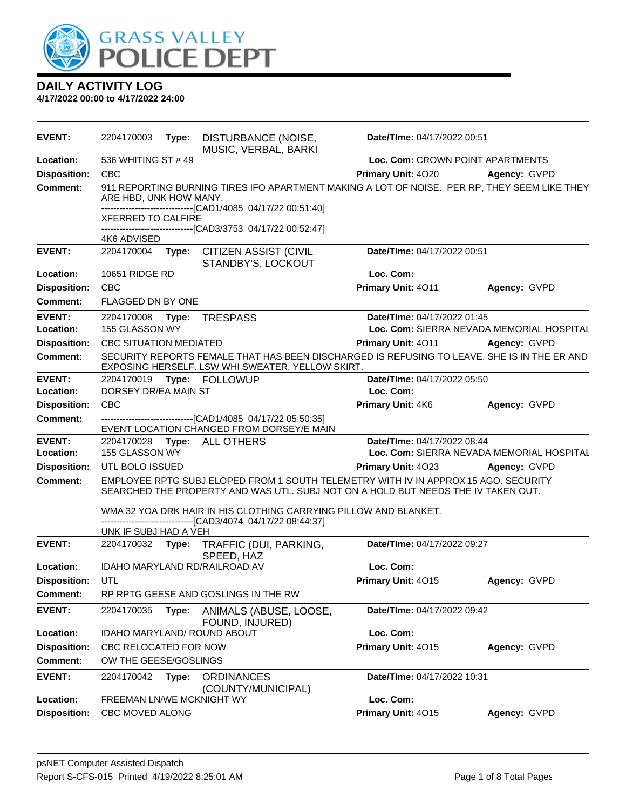

| <b>EVENT:</b>       | 2204170003                                                 | Type: | DISTURBANCE (NOISE,<br>MUSIC, VERBAL, BARKI                                                                                                                              | Date/TIme: 04/17/2022 00:51 |                                           |
|---------------------|------------------------------------------------------------|-------|--------------------------------------------------------------------------------------------------------------------------------------------------------------------------|-----------------------------|-------------------------------------------|
| Location:           | 536 WHITING ST #49                                         |       |                                                                                                                                                                          |                             | Loc. Com: CROWN POINT APARTMENTS          |
| <b>Disposition:</b> | <b>CBC</b>                                                 |       |                                                                                                                                                                          | <b>Primary Unit: 4020</b>   | Agency: GVPD                              |
| <b>Comment:</b>     | ARE HBD, UNK HOW MANY.                                     |       | 911 REPORTING BURNING TIRES IFO APARTMENT MAKING A LOT OF NOISE. PER RP, THEY SEEM LIKE THEY                                                                             |                             |                                           |
|                     | <b>XFERRED TO CALFIRE</b>                                  |       | ------------------------------[CAD1/4085 04/17/22 00:51:40]                                                                                                              |                             |                                           |
|                     |                                                            |       | -------------------------------[CAD3/3753_04/17/22_00:52:47]                                                                                                             |                             |                                           |
|                     | 4K6 ADVISED                                                |       |                                                                                                                                                                          |                             |                                           |
| <b>EVENT:</b>       | 2204170004                                                 | Type: | <b>CITIZEN ASSIST (CIVIL</b><br>STANDBY'S, LOCKOUT                                                                                                                       | Date/TIme: 04/17/2022 00:51 |                                           |
| Location:           | 10651 RIDGE RD                                             |       |                                                                                                                                                                          | Loc. Com:                   |                                           |
| <b>Disposition:</b> | CBC                                                        |       |                                                                                                                                                                          | Primary Unit: 4011          | Agency: GVPD                              |
| <b>Comment:</b>     | FLAGGED DN BY ONE                                          |       |                                                                                                                                                                          |                             |                                           |
| <b>EVENT:</b>       | 2204170008 Type:                                           |       | <b>TRESPASS</b>                                                                                                                                                          | Date/TIme: 04/17/2022 01:45 |                                           |
| Location:           | 155 GLASSON WY                                             |       |                                                                                                                                                                          |                             | Loc. Com: SIERRA NEVADA MEMORIAL HOSPITAL |
| <b>Disposition:</b> | <b>CBC SITUATION MEDIATED</b>                              |       |                                                                                                                                                                          | Primary Unit: 4011          | Agency: GVPD                              |
| <b>Comment:</b>     |                                                            |       | SECURITY REPORTS FEMALE THAT HAS BEEN DISCHARGED IS REFUSING TO LEAVE. SHE IS IN THE ER AND<br>EXPOSING HERSELF. LSW WHI SWEATER, YELLOW SKIRT.                          |                             |                                           |
| <b>EVENT:</b>       |                                                            |       |                                                                                                                                                                          | Date/TIme: 04/17/2022 05:50 |                                           |
| Location:           | DORSEY DR/EA MAIN ST                                       |       |                                                                                                                                                                          | Loc. Com:                   |                                           |
| <b>Disposition:</b> | <b>CBC</b>                                                 |       |                                                                                                                                                                          | Primary Unit: 4K6           | Agency: GVPD                              |
| <b>Comment:</b>     |                                                            |       | -------------------------------[CAD1/4085 04/17/22 05:50:35]<br>EVENT LOCATION CHANGED FROM DORSEY/E MAIN                                                                |                             |                                           |
| <b>EVENT:</b>       | Date/TIme: 04/17/2022 08:44<br>2204170028 Type: ALL OTHERS |       |                                                                                                                                                                          |                             |                                           |
| Location:           | 155 GLASSON WY                                             |       |                                                                                                                                                                          |                             | Loc. Com: SIERRA NEVADA MEMORIAL HOSPITAL |
| <b>Disposition:</b> | UTL BOLO ISSUED                                            |       |                                                                                                                                                                          | Primary Unit: 4023          | Agency: GVPD                              |
| <b>Comment:</b>     |                                                            |       | EMPLOYEE RPTG SUBJ ELOPED FROM 1 SOUTH TELEMETRY WITH IV IN APPROX 15 AGO. SECURITY<br>SEARCHED THE PROPERTY AND WAS UTL. SUBJ NOT ON A HOLD BUT NEEDS THE IV TAKEN OUT. |                             |                                           |
|                     |                                                            |       | WMA 32 YOA DRK HAIR IN HIS CLOTHING CARRYING PILLOW AND BLANKET.<br>---------------------------[CAD3/4074_04/17/22_08:44:37]                                             |                             |                                           |
|                     | UNK IF SUBJ HAD A VEH                                      |       |                                                                                                                                                                          |                             |                                           |
| <b>EVENT:</b>       |                                                            |       | 2204170032 Type: TRAFFIC (DUI, PARKING,<br>SPEED, HAZ                                                                                                                    | Date/TIme: 04/17/2022 09:27 |                                           |
| Location:           |                                                            |       | <b>IDAHO MARYLAND RD/RAILROAD AV</b>                                                                                                                                     | Loc. Com:                   |                                           |
| <b>Disposition:</b> | UTL                                                        |       |                                                                                                                                                                          | Primary Unit: 4015          | Agency: GVPD                              |
| Comment:            |                                                            |       | RP RPTG GEESE AND GOSLINGS IN THE RW                                                                                                                                     |                             |                                           |
| <b>EVENT:</b>       | 2204170035                                                 | Type: | ANIMALS (ABUSE, LOOSE,<br>FOUND, INJURED)                                                                                                                                | Date/TIme: 04/17/2022 09:42 |                                           |
| Location:           | IDAHO MARYLAND/ ROUND ABOUT                                |       |                                                                                                                                                                          | Loc. Com:                   |                                           |
| <b>Disposition:</b> | CBC RELOCATED FOR NOW                                      |       |                                                                                                                                                                          | Primary Unit: 4015          | Agency: GVPD                              |
| <b>Comment:</b>     | OW THE GEESE/GOSLINGS                                      |       |                                                                                                                                                                          |                             |                                           |
| <b>EVENT:</b>       | 2204170042                                                 | Type: | <b>ORDINANCES</b><br>(COUNTY/MUNICIPAL)                                                                                                                                  | Date/TIme: 04/17/2022 10:31 |                                           |
| Location:           | FREEMAN LN/WE MCKNIGHT WY                                  |       |                                                                                                                                                                          | Loc. Com:                   |                                           |
| <b>Disposition:</b> | CBC MOVED ALONG                                            |       |                                                                                                                                                                          | Primary Unit: 4015          | Agency: GVPD                              |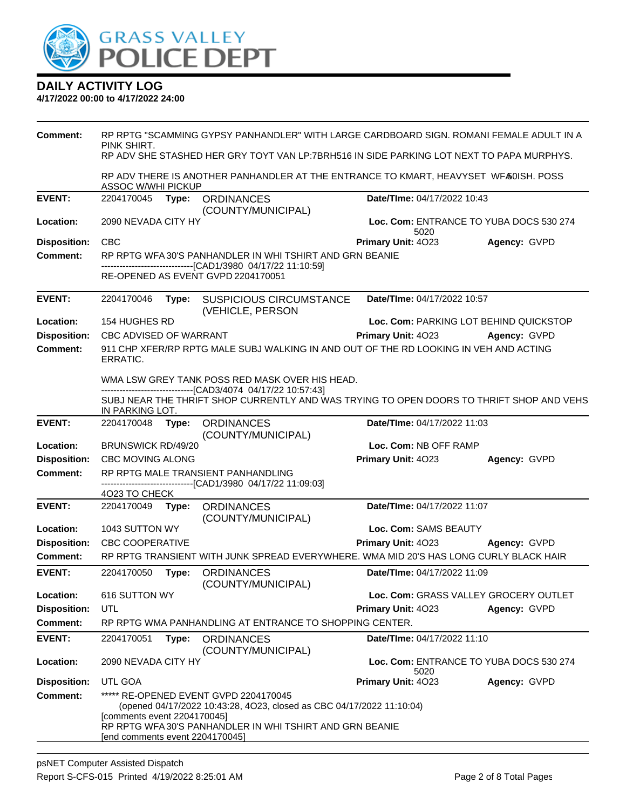

| <b>Comment:</b>     | RP RPTG "SCAMMING GYPSY PANHANDLER" WITH LARGE CARDBOARD SIGN. ROMANI FEMALE ADULT IN A<br>PINK SHIRT.<br>RP ADV SHE STASHED HER GRY TOYT VAN LP:7BRH516 IN SIDE PARKING LOT NEXT TO PAPA MURPHYS.                                           |       |                                                                                                               |                                                 |              |
|---------------------|----------------------------------------------------------------------------------------------------------------------------------------------------------------------------------------------------------------------------------------------|-------|---------------------------------------------------------------------------------------------------------------|-------------------------------------------------|--------------|
|                     | ASSOC W/WHI PICKUP                                                                                                                                                                                                                           |       | RP ADV THERE IS ANOTHER PANHANDLER AT THE ENTRANCE TO KMART, HEAVYSET WFAOISH. POSS                           |                                                 |              |
| <b>EVENT:</b>       | 2204170045                                                                                                                                                                                                                                   | Type: | <b>ORDINANCES</b><br>(COUNTY/MUNICIPAL)                                                                       | Date/TIme: 04/17/2022 10:43                     |              |
| Location:           | 2090 NEVADA CITY HY                                                                                                                                                                                                                          |       |                                                                                                               | Loc. Com: ENTRANCE TO YUBA DOCS 530 274<br>5020 |              |
| <b>Disposition:</b> | <b>CBC</b>                                                                                                                                                                                                                                   |       |                                                                                                               | Primary Unit: 4023                              | Agency: GVPD |
| <b>Comment:</b>     |                                                                                                                                                                                                                                              |       | RP RPTG WFA 30'S PANHANDLER IN WHI TSHIRT AND GRN BEANIE                                                      |                                                 |              |
|                     |                                                                                                                                                                                                                                              |       | ------------------------[CAD1/3980_04/17/22 11:10:59]<br>RE-OPENED AS EVENT GVPD 2204170051                   |                                                 |              |
| <b>EVENT:</b>       | 2204170046                                                                                                                                                                                                                                   | Type: | <b>SUSPICIOUS CIRCUMSTANCE</b><br>(VEHICLE, PERSON                                                            | Date/TIme: 04/17/2022 10:57                     |              |
| Location:           | 154 HUGHES RD                                                                                                                                                                                                                                |       |                                                                                                               | Loc. Com: PARKING LOT BEHIND QUICKSTOP          |              |
| <b>Disposition:</b> | CBC ADVISED OF WARRANT                                                                                                                                                                                                                       |       |                                                                                                               | <b>Primary Unit: 4023</b>                       | Agency: GVPD |
| <b>Comment:</b>     | 911 CHP XFER/RP RPTG MALE SUBJ WALKING IN AND OUT OF THE RD LOOKING IN VEH AND ACTING<br>ERRATIC.                                                                                                                                            |       |                                                                                                               |                                                 |              |
|                     |                                                                                                                                                                                                                                              |       | WMA LSW GREY TANK POSS RED MASK OVER HIS HEAD.<br>------------------------------[CAD3/4074 04/17/22 10:57:43] |                                                 |              |
|                     | IN PARKING LOT.                                                                                                                                                                                                                              |       | SUBJ NEAR THE THRIFT SHOP CURRENTLY AND WAS TRYING TO OPEN DOORS TO THRIFT SHOP AND VEHS                      |                                                 |              |
| <b>EVENT:</b>       | 2204170048                                                                                                                                                                                                                                   | Type: | <b>ORDINANCES</b><br>(COUNTY/MUNICIPAL)                                                                       | Date/TIme: 04/17/2022 11:03                     |              |
| Location:           | Loc. Com: NB OFF RAMP<br><b>BRUNSWICK RD/49/20</b>                                                                                                                                                                                           |       |                                                                                                               |                                                 |              |
| <b>Disposition:</b> | <b>CBC MOVING ALONG</b>                                                                                                                                                                                                                      |       |                                                                                                               | Primary Unit: 4023                              | Agency: GVPD |
| <b>Comment:</b>     |                                                                                                                                                                                                                                              |       | RP RPTG MALE TRANSIENT PANHANDLING<br>---------------------[CAD1/3980_04/17/22 11:09:03]                      |                                                 |              |
|                     | 4023 TO CHECK                                                                                                                                                                                                                                |       |                                                                                                               |                                                 |              |
| <b>EVENT:</b>       | 2204170049                                                                                                                                                                                                                                   | Type: | <b>ORDINANCES</b><br>(COUNTY/MUNICIPAL)                                                                       | Date/TIme: 04/17/2022 11:07                     |              |
| Location:           | 1043 SUTTON WY                                                                                                                                                                                                                               |       |                                                                                                               | Loc. Com: SAMS BEAUTY                           |              |
| <b>Disposition:</b> | <b>CBC COOPERATIVE</b>                                                                                                                                                                                                                       |       |                                                                                                               | Primary Unit: 4023                              | Agency: GVPD |
| <b>Comment:</b>     |                                                                                                                                                                                                                                              |       | RP RPTG TRANSIENT WITH JUNK SPREAD EVERYWHERE, WMA MID 20'S HAS LONG CURLY BLACK HAIR                         |                                                 |              |
| <b>EVENT:</b>       | 2204170050                                                                                                                                                                                                                                   | Type: | <b>ORDINANCES</b><br>(COUNTY/MUNICIPAL)                                                                       | Date/TIme: 04/17/2022 11:09                     |              |
| Location:           | 616 SUTTON WY                                                                                                                                                                                                                                |       |                                                                                                               | Loc. Com: GRASS VALLEY GROCERY OUTLET           |              |
| <b>Disposition:</b> | UTL                                                                                                                                                                                                                                          |       |                                                                                                               | Primary Unit: 4023                              | Agency: GVPD |
| <b>Comment:</b>     |                                                                                                                                                                                                                                              |       | RP RPTG WMA PANHANDLING AT ENTRANCE TO SHOPPING CENTER.                                                       |                                                 |              |
| <b>EVENT:</b>       | 2204170051                                                                                                                                                                                                                                   | Type: | <b>ORDINANCES</b><br>(COUNTY/MUNICIPAL)                                                                       | Date/TIme: 04/17/2022 11:10                     |              |
| Location:           | 2090 NEVADA CITY HY                                                                                                                                                                                                                          |       |                                                                                                               | Loc. Com: ENTRANCE TO YUBA DOCS 530 274<br>5020 |              |
| <b>Disposition:</b> | UTL GOA                                                                                                                                                                                                                                      |       |                                                                                                               | Primary Unit: 4023                              | Agency: GVPD |
| Comment:            | ***** RE-OPENED EVENT GVPD 2204170045<br>(opened 04/17/2022 10:43:28, 4O23, closed as CBC 04/17/2022 11:10:04)<br>[comments event 2204170045]<br>RP RPTG WFA 30'S PANHANDLER IN WHI TSHIRT AND GRN BEANIE<br>[end comments event 2204170045] |       |                                                                                                               |                                                 |              |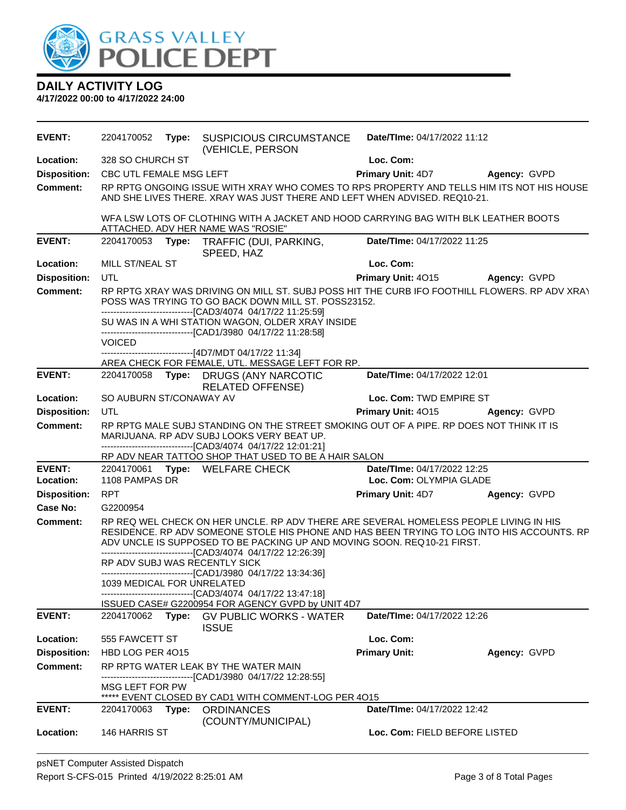

| <b>EVENT:</b>       | 2204170052                 | Type: SUSPICIOUS CIRCUMSTANCE<br>(VEHICLE, PERSON                                                                                                                                                                                                                                                                                                              | Date/Time: 04/17/2022 11:12        |                     |
|---------------------|----------------------------|----------------------------------------------------------------------------------------------------------------------------------------------------------------------------------------------------------------------------------------------------------------------------------------------------------------------------------------------------------------|------------------------------------|---------------------|
| Location:           | 328 SO CHURCH ST           |                                                                                                                                                                                                                                                                                                                                                                | Loc. Com:                          |                     |
| <b>Disposition:</b> | CBC UTL FEMALE MSG LEFT    |                                                                                                                                                                                                                                                                                                                                                                | <b>Primary Unit: 4D7</b>           | Agency: GVPD        |
| Comment:            |                            | RP RPTG ONGOING ISSUE WITH XRAY WHO COMES TO RPS PROPERTY AND TELLS HIM ITS NOT HIS HOUSE<br>AND SHE LIVES THERE. XRAY WAS JUST THERE AND LEFT WHEN ADVISED. REQ10-21.                                                                                                                                                                                         |                                    |                     |
|                     |                            | WFA LSW LOTS OF CLOTHING WITH A JACKET AND HOOD CARRYING BAG WITH BLK LEATHER BOOTS<br>ATTACHED. ADV HER NAME WAS "ROSIE"                                                                                                                                                                                                                                      |                                    |                     |
| <b>EVENT:</b>       | 2204170053                 | Type: TRAFFIC (DUI, PARKING,<br>SPEED, HAZ                                                                                                                                                                                                                                                                                                                     | Date/TIme: 04/17/2022 11:25        |                     |
| Location:           | MILL ST/NEAL ST            |                                                                                                                                                                                                                                                                                                                                                                | Loc. Com:                          |                     |
| <b>Disposition:</b> | <b>UTL</b>                 |                                                                                                                                                                                                                                                                                                                                                                | <b>Primary Unit: 4015</b>          | <b>Agency: GVPD</b> |
| <b>Comment:</b>     |                            | RP RPTG XRAY WAS DRIVING ON MILL ST. SUBJ POSS HIT THE CURB IFO FOOTHILL FLOWERS. RP ADV XRAY<br>POSS WAS TRYING TO GO BACK DOWN MILL ST. POSS23152.<br>--------------------------------[CAD3/4074 04/17/22 11:25:59]                                                                                                                                          |                                    |                     |
|                     |                            | SU WAS IN A WHI STATION WAGON, OLDER XRAY INSIDE<br>-------------------------------[CAD1/3980 04/17/22 11:28:58]                                                                                                                                                                                                                                               |                                    |                     |
|                     | <b>VOICED</b>              | -------------------[4D7/MDT 04/17/22 11:34]                                                                                                                                                                                                                                                                                                                    |                                    |                     |
|                     |                            | AREA CHECK FOR FEMALE, UTL. MESSAGE LEFT FOR RP.                                                                                                                                                                                                                                                                                                               |                                    |                     |
| <b>EVENT:</b>       | 2204170058                 | Type: DRUGS (ANY NARCOTIC<br><b>RELATED OFFENSE)</b>                                                                                                                                                                                                                                                                                                           | Date/TIme: 04/17/2022 12:01        |                     |
| Location:           | SO AUBURN ST/CONAWAY AV    |                                                                                                                                                                                                                                                                                                                                                                | Loc. Com: TWD EMPIRE ST            |                     |
| <b>Disposition:</b> | <b>UTL</b>                 |                                                                                                                                                                                                                                                                                                                                                                | <b>Primary Unit: 4015</b>          | Agency: GVPD        |
| <b>Comment:</b>     |                            | RP RPTG MALE SUBJ STANDING ON THE STREET SMOKING OUT OF A PIPE. RP DOES NOT THINK IT IS<br>MARIJUANA. RP ADV SUBJ LOOKS VERY BEAT UP.<br>-------------------------------[CAD3/4074 04/17/22 12:01:21]                                                                                                                                                          |                                    |                     |
|                     |                            | RP ADV NEAR TATTOO SHOP THAT USED TO BE A HAIR SALON                                                                                                                                                                                                                                                                                                           |                                    |                     |
| <b>EVENT:</b>       |                            | 2204170061 Type: WELFARE CHECK                                                                                                                                                                                                                                                                                                                                 | Date/TIme: 04/17/2022 12:25        |                     |
| Location:           | 1108 PAMPAS DR             |                                                                                                                                                                                                                                                                                                                                                                | Loc. Com: OLYMPIA GLADE            |                     |
| <b>Disposition:</b> | <b>RPT</b>                 |                                                                                                                                                                                                                                                                                                                                                                | <b>Primary Unit: 4D7</b>           | Agency: GVPD        |
| Case No:            | G2200954                   |                                                                                                                                                                                                                                                                                                                                                                |                                    |                     |
| <b>Comment:</b>     |                            | RP REQ WEL CHECK ON HER UNCLE. RP ADV THERE ARE SEVERAL HOMELESS PEOPLE LIVING IN HIS<br>RESIDENCE. RP ADV SOMEONE STOLE HIS PHONE AND HAS BEEN TRYING TO LOG INTO HIS ACCOUNTS. RP<br>ADV UNCLE IS SUPPOSED TO BE PACKING UP AND MOVING SOON. REQ10-21 FIRST.<br>------------------------------[CAD3/4074_04/17/22 12:26:39]<br>RP ADV SUBJ WAS RECENTLY SICK |                                    |                     |
|                     |                            | -------------------------------[CAD1/3980_04/17/22 13:34:36]                                                                                                                                                                                                                                                                                                   |                                    |                     |
|                     | 1039 MEDICAL FOR UNRELATED |                                                                                                                                                                                                                                                                                                                                                                |                                    |                     |
|                     |                            | -------------------------------[CAD3/4074 04/17/22 13:47:18]                                                                                                                                                                                                                                                                                                   |                                    |                     |
| <b>EVENT:</b>       | 2204170062                 | ISSUED CASE# G2200954 FOR AGENCY GVPD by UNIT 4D7<br>Type: GV PUBLIC WORKS - WATER                                                                                                                                                                                                                                                                             | Date/TIme: 04/17/2022 12:26        |                     |
| Location:           | 555 FAWCETT ST             | <b>ISSUE</b>                                                                                                                                                                                                                                                                                                                                                   | Loc. Com:                          |                     |
| <b>Disposition:</b> | HBD LOG PER 4015           |                                                                                                                                                                                                                                                                                                                                                                | <b>Primary Unit:</b>               | Agency: GVPD        |
|                     |                            |                                                                                                                                                                                                                                                                                                                                                                |                                    |                     |
| <b>Comment:</b>     |                            | RP RPTG WATER LEAK BY THE WATER MAIN<br>-----------------------[CAD1/3980 04/17/22 12:28:55]                                                                                                                                                                                                                                                                   |                                    |                     |
|                     | MSG LEFT FOR PW            | ***** EVENT CLOSED BY CAD1 WITH COMMENT-LOG PER 4015                                                                                                                                                                                                                                                                                                           |                                    |                     |
| <b>EVENT:</b>       | 2204170063 Type:           | <b>ORDINANCES</b>                                                                                                                                                                                                                                                                                                                                              | <b>Date/Time: 04/17/2022 12:42</b> |                     |
| Location:           | 146 HARRIS ST              | (COUNTY/MUNICIPAL)                                                                                                                                                                                                                                                                                                                                             | Loc. Com: FIELD BEFORE LISTED      |                     |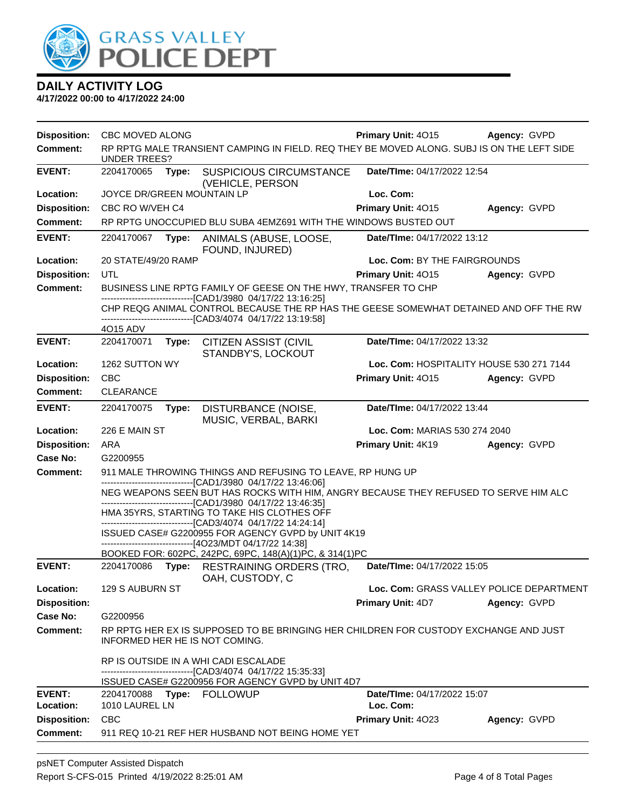

| <b>Disposition:</b>        | CBC MOVED ALONG                                                                                                            |       |                                                                                                                                                                                                          | <b>Primary Unit: 4015</b>                | Agency: GVPD |
|----------------------------|----------------------------------------------------------------------------------------------------------------------------|-------|----------------------------------------------------------------------------------------------------------------------------------------------------------------------------------------------------------|------------------------------------------|--------------|
| <b>Comment:</b>            | <b>UNDER TREES?</b>                                                                                                        |       | RP RPTG MALE TRANSIENT CAMPING IN FIELD. REQ THEY BE MOVED ALONG. SUBJ IS ON THE LEFT SIDE                                                                                                               |                                          |              |
| <b>EVENT:</b>              | 2204170065                                                                                                                 | Type: | SUSPICIOUS CIRCUMSTANCE<br>(VEHICLE, PERSON                                                                                                                                                              | Date/TIme: 04/17/2022 12:54              |              |
| Location:                  | JOYCE DR/GREEN MOUNTAIN LP                                                                                                 |       |                                                                                                                                                                                                          | Loc. Com:                                |              |
| <b>Disposition:</b>        | CBC RO W/VEH C4                                                                                                            |       |                                                                                                                                                                                                          | Primary Unit: 4015                       | Agency: GVPD |
| <b>Comment:</b>            |                                                                                                                            |       | RP RPTG UNOCCUPIED BLU SUBA 4EMZ691 WITH THE WINDOWS BUSTED OUT                                                                                                                                          |                                          |              |
| <b>EVENT:</b>              | 2204170067                                                                                                                 | Type: | ANIMALS (ABUSE, LOOSE,<br>FOUND, INJURED)                                                                                                                                                                | Date/TIme: 04/17/2022 13:12              |              |
| Location:                  | 20 STATE/49/20 RAMP                                                                                                        |       |                                                                                                                                                                                                          | Loc. Com: BY THE FAIRGROUNDS             |              |
| <b>Disposition:</b>        | UTL                                                                                                                        |       |                                                                                                                                                                                                          | <b>Primary Unit: 4015</b>                | Agency: GVPD |
| <b>Comment:</b>            |                                                                                                                            |       | BUSINESS LINE RPTG FAMILY OF GEESE ON THE HWY, TRANSFER TO CHP                                                                                                                                           |                                          |              |
|                            |                                                                                                                            |       | -------------------------------[CAD1/3980 04/17/22 13:16:25]<br>CHP REQG ANIMAL CONTROL BECAUSE THE RP HAS THE GEESE SOMEWHAT DETAINED AND OFF THE RW<br>------------------[CAD3/4074_04/17/22 13:19:58] |                                          |              |
|                            | 4O15 ADV                                                                                                                   |       |                                                                                                                                                                                                          |                                          |              |
| <b>EVENT:</b>              | 2204170071                                                                                                                 | Type: | <b>CITIZEN ASSIST (CIVIL</b><br>STANDBY'S, LOCKOUT                                                                                                                                                       | Date/TIme: 04/17/2022 13:32              |              |
| Location:                  | 1262 SUTTON WY                                                                                                             |       |                                                                                                                                                                                                          | Loc. Com: HOSPITALITY HOUSE 530 271 7144 |              |
| <b>Disposition:</b>        | <b>CBC</b>                                                                                                                 |       |                                                                                                                                                                                                          | Primary Unit: 4015                       | Agency: GVPD |
| <b>Comment:</b>            | <b>CLEARANCE</b>                                                                                                           |       |                                                                                                                                                                                                          |                                          |              |
| <b>EVENT:</b>              | 2204170075                                                                                                                 | Type: | DISTURBANCE (NOISE,<br>MUSIC, VERBAL, BARKI                                                                                                                                                              | Date/TIme: 04/17/2022 13:44              |              |
| Location:                  | 226 E MAIN ST                                                                                                              |       |                                                                                                                                                                                                          | Loc. Com: MARIAS 530 274 2040            |              |
| <b>Disposition:</b>        | ARA                                                                                                                        |       |                                                                                                                                                                                                          | Primary Unit: 4K19                       | Agency: GVPD |
| <b>Case No:</b>            | G2200955                                                                                                                   |       |                                                                                                                                                                                                          |                                          |              |
| Comment:                   | 911 MALE THROWING THINGS AND REFUSING TO LEAVE, RP HUNG UP<br>-------------------------------[CAD1/3980 04/17/22 13:46:06] |       |                                                                                                                                                                                                          |                                          |              |
|                            |                                                                                                                            |       | NEG WEAPONS SEEN BUT HAS ROCKS WITH HIM, ANGRY BECAUSE THEY REFUSED TO SERVE HIM ALC                                                                                                                     |                                          |              |
|                            |                                                                                                                            |       | -------------------[CAD1/3980_04/17/22 13:46:35]<br>HMA 35YRS, STARTING TO TAKE HIS CLOTHES OFF<br>-----------------------[CAD3/4074_04/17/22 14:24:14]                                                  |                                          |              |
|                            |                                                                                                                            |       | ISSUED CASE# G2200955 FOR AGENCY GVPD by UNIT 4K19<br>------------------------------[4O23/MDT 04/17/22 14:38]                                                                                            |                                          |              |
|                            |                                                                                                                            |       | BOOKED FOR: 602PC, 242PC, 69PC, 148(A)(1)PC, & 314(1)PC                                                                                                                                                  |                                          |              |
| <b>EVENT:</b>              | 2204170086                                                                                                                 | Type: | <b>RESTRAINING ORDERS (TRO,</b><br>OAH, CUSTODY, C                                                                                                                                                       | Date/TIme: 04/17/2022 15:05              |              |
| Location:                  | 129 S AUBURN ST                                                                                                            |       |                                                                                                                                                                                                          | Loc. Com: GRASS VALLEY POLICE DEPARTMENT |              |
| <b>Disposition:</b>        |                                                                                                                            |       |                                                                                                                                                                                                          | <b>Primary Unit: 4D7</b>                 | Agency: GVPD |
| Case No:                   | G2200956                                                                                                                   |       |                                                                                                                                                                                                          |                                          |              |
| Comment:                   |                                                                                                                            |       | RP RPTG HER EX IS SUPPOSED TO BE BRINGING HER CHILDREN FOR CUSTODY EXCHANGE AND JUST<br>INFORMED HER HE IS NOT COMING.                                                                                   |                                          |              |
|                            |                                                                                                                            |       | RP IS OUTSIDE IN A WHI CADI ESCALADE<br>-------------------------------[CAD3/4074_04/17/22_15:35:33]                                                                                                     |                                          |              |
|                            |                                                                                                                            |       | ISSUED CASE# G2200956 FOR AGENCY GVPD by UNIT 4D7                                                                                                                                                        |                                          |              |
| <b>EVENT:</b><br>Location: | 1010 LAUREL LN                                                                                                             |       | 2204170088 Type: FOLLOWUP                                                                                                                                                                                | Date/TIme: 04/17/2022 15:07<br>Loc. Com: |              |
| <b>Disposition:</b>        | <b>CBC</b>                                                                                                                 |       |                                                                                                                                                                                                          | Primary Unit: 4023                       | Agency: GVPD |
| Comment:                   |                                                                                                                            |       | 911 REQ 10-21 REF HER HUSBAND NOT BEING HOME YET                                                                                                                                                         |                                          |              |
|                            |                                                                                                                            |       |                                                                                                                                                                                                          |                                          |              |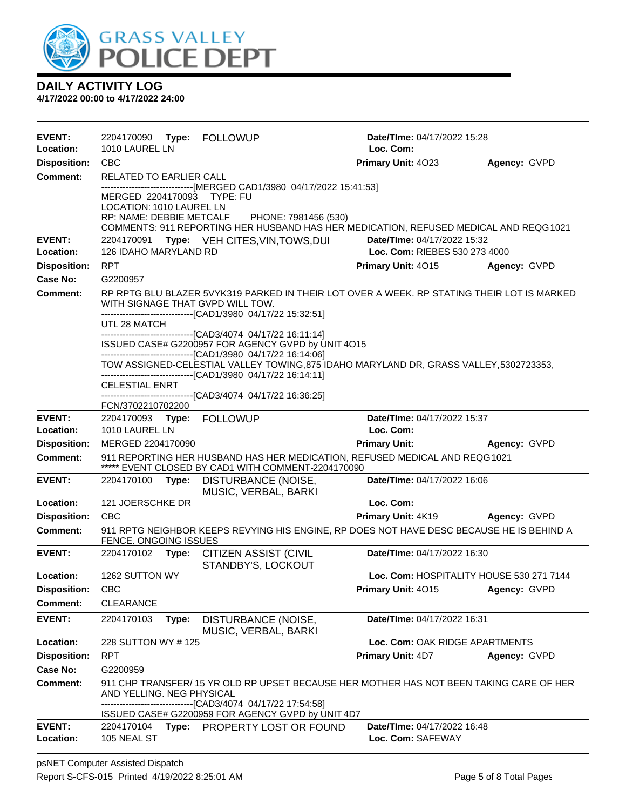

| <b>EVENT:</b>              |                                                                                                                                                                           |       | 2204170090 Type: FOLLOWUP                                                                                                                                                                                     | Date/TIme: 04/17/2022 15:28                                  |              |  |
|----------------------------|---------------------------------------------------------------------------------------------------------------------------------------------------------------------------|-------|---------------------------------------------------------------------------------------------------------------------------------------------------------------------------------------------------------------|--------------------------------------------------------------|--------------|--|
| Location:                  | 1010 LAUREL LN                                                                                                                                                            |       |                                                                                                                                                                                                               | Loc. Com:                                                    |              |  |
| <b>Disposition:</b>        | <b>CBC</b>                                                                                                                                                                |       |                                                                                                                                                                                                               | Primary Unit: 4023                                           | Agency: GVPD |  |
| <b>Comment:</b>            | RELATED TO EARLIER CALL                                                                                                                                                   |       |                                                                                                                                                                                                               |                                                              |              |  |
|                            | MERGED 2204170093 TYPE: FU<br>LOCATION: 1010 LAUREL LN                                                                                                                    |       | ------------------------------[MERGED CAD1/3980 04/17/2022 15:41:53]<br>RP: NAME: DEBBIE METCALF PHONE: 7981456 (530)<br>COMMENTS: 911 REPORTING HER HUSBAND HAS HER MEDICATION, REFUSED MEDICAL AND REQG1021 |                                                              |              |  |
| <b>EVENT:</b><br>Location: | 126 IDAHO MARYLAND RD                                                                                                                                                     |       | 2204170091 Type: VEH CITES, VIN, TOWS, DUI                                                                                                                                                                    | Date/TIme: 04/17/2022 15:32<br>Loc. Com: RIEBES 530 273 4000 |              |  |
| <b>Disposition:</b>        | <b>RPT</b>                                                                                                                                                                |       |                                                                                                                                                                                                               | Primary Unit: 4015                                           | Agency: GVPD |  |
| <b>Case No:</b>            | G2200957                                                                                                                                                                  |       |                                                                                                                                                                                                               |                                                              |              |  |
| Comment:                   | RP RPTG BLU BLAZER 5VYK319 PARKED IN THEIR LOT OVER A WEEK. RP STATING THEIR LOT IS MARKED                                                                                |       |                                                                                                                                                                                                               |                                                              |              |  |
|                            | WITH SIGNAGE THAT GVPD WILL TOW.<br>-------------------------------[CAD1/3980 04/17/22 15:32:51]                                                                          |       |                                                                                                                                                                                                               |                                                              |              |  |
|                            | UTL 28 MATCH                                                                                                                                                              |       |                                                                                                                                                                                                               |                                                              |              |  |
|                            |                                                                                                                                                                           |       | ------------------------------[CAD3/4074_04/17/22 16:11:14]<br>ISSUED CASE# G2200957 FOR AGENCY GVPD by UNIT 4O15                                                                                             |                                                              |              |  |
|                            | -------------------------------[CAD1/3980 04/17/22 16:14:06]<br>TOW ASSIGNED-CELESTIAL VALLEY TOWING, 875 IDAHO MARYLAND DR, GRASS VALLEY, 5302723353,                    |       |                                                                                                                                                                                                               |                                                              |              |  |
|                            | <b>CELESTIAL ENRT</b>                                                                                                                                                     |       | -------------------------------[CAD1/3980_04/17/22 16:14:11]                                                                                                                                                  |                                                              |              |  |
|                            | FCN/3702210702200                                                                                                                                                         |       | -------------------------------[CAD3/4074_04/17/22 16:36:25]                                                                                                                                                  |                                                              |              |  |
| <b>EVENT:</b>              |                                                                                                                                                                           |       | 2204170093 Type: FOLLOWUP                                                                                                                                                                                     | Date/TIme: 04/17/2022 15:37                                  |              |  |
| Location:                  | 1010 LAUREL LN                                                                                                                                                            |       |                                                                                                                                                                                                               | Loc. Com:                                                    |              |  |
| <b>Disposition:</b>        | MERGED 2204170090                                                                                                                                                         |       |                                                                                                                                                                                                               | <b>Primary Unit:</b>                                         | Agency: GVPD |  |
| <b>Comment:</b>            | 911 REPORTING HER HUSBAND HAS HER MEDICATION, REFUSED MEDICAL AND REQG1021<br>***** EVENT CLOSED BY CAD1 WITH COMMENT-2204170090                                          |       |                                                                                                                                                                                                               |                                                              |              |  |
| <b>EVENT:</b>              | 2204170100                                                                                                                                                                | Type: | DISTURBANCE (NOISE,<br>MUSIC, VERBAL, BARKI                                                                                                                                                                   | Date/TIme: 04/17/2022 16:06                                  |              |  |
| Location:                  | 121 JOERSCHKE DR                                                                                                                                                          |       |                                                                                                                                                                                                               | Loc. Com:                                                    |              |  |
| <b>Disposition:</b>        | <b>CBC</b>                                                                                                                                                                |       |                                                                                                                                                                                                               | <b>Primary Unit: 4K19</b>                                    | Agency: GVPD |  |
| <b>Comment:</b>            | FENCE. ONGOING ISSUES                                                                                                                                                     |       | 911 RPTG NEIGHBOR KEEPS REVYING HIS ENGINE, RP DOES NOT HAVE DESC BECAUSE HE IS BEHIND A                                                                                                                      |                                                              |              |  |
| <b>EVENT:</b>              | 2204170102                                                                                                                                                                |       | Type: CITIZEN ASSIST (CIVIL<br>STANDBY'S, LOCKOUT                                                                                                                                                             | Date/TIme: 04/17/2022 16:30                                  |              |  |
| Location:                  | 1262 SUTTON WY                                                                                                                                                            |       |                                                                                                                                                                                                               | Loc. Com: HOSPITALITY HOUSE 530 271 7144                     |              |  |
| <b>Disposition:</b>        | <b>CBC</b>                                                                                                                                                                |       |                                                                                                                                                                                                               | Primary Unit: 4015                                           | Agency: GVPD |  |
| <b>Comment:</b>            | CLEARANCE                                                                                                                                                                 |       |                                                                                                                                                                                                               |                                                              |              |  |
| <b>EVENT:</b>              | 2204170103                                                                                                                                                                | Type: | DISTURBANCE (NOISE,<br>MUSIC, VERBAL, BARKI                                                                                                                                                                   | Date/TIme: 04/17/2022 16:31                                  |              |  |
| Location:                  | 228 SUTTON WY #125                                                                                                                                                        |       |                                                                                                                                                                                                               | Loc. Com: OAK RIDGE APARTMENTS                               |              |  |
| <b>Disposition:</b>        | <b>RPT</b>                                                                                                                                                                |       |                                                                                                                                                                                                               | <b>Primary Unit: 4D7</b>                                     | Agency: GVPD |  |
| Case No:                   | G2200959                                                                                                                                                                  |       |                                                                                                                                                                                                               |                                                              |              |  |
| <b>Comment:</b>            | 911 CHP TRANSFER/ 15 YR OLD RP UPSET BECAUSE HER MOTHER HAS NOT BEEN TAKING CARE OF HER<br>AND YELLING. NEG PHYSICAL<br>--------------------[CAD3/4074_04/17/22 17:54:58] |       |                                                                                                                                                                                                               |                                                              |              |  |
|                            |                                                                                                                                                                           |       | ISSUED CASE# G2200959 FOR AGENCY GVPD by UNIT 4D7                                                                                                                                                             |                                                              |              |  |
| <b>EVENT:</b><br>Location: | 2204170104<br>105 NEAL ST                                                                                                                                                 |       | Type: PROPERTY LOST OR FOUND                                                                                                                                                                                  | Date/TIme: 04/17/2022 16:48<br>Loc. Com: SAFEWAY             |              |  |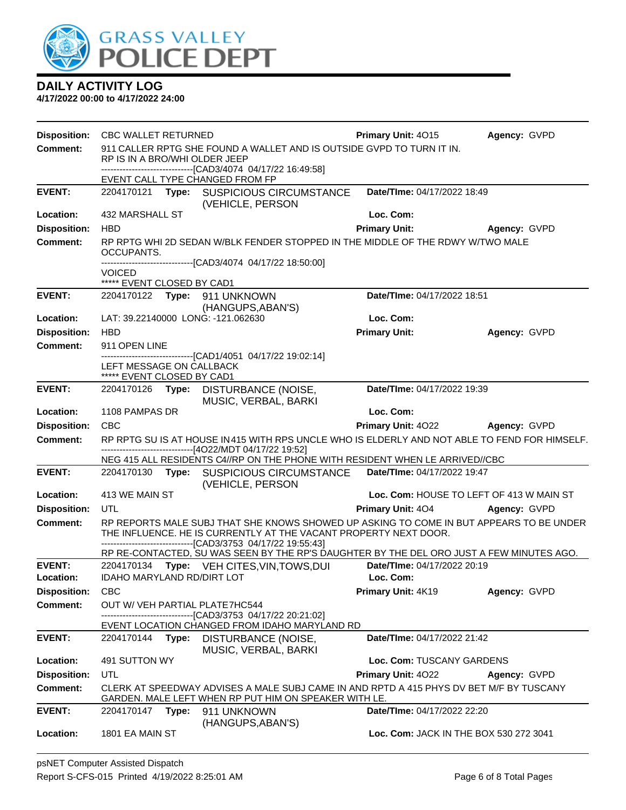

|                     | Disposition: CBC WALLET RETURNED                                                                                                                 |       |                                                                                                                                                                                                                             | Primary Unit: 4015                       | Agency: GVPD        |
|---------------------|--------------------------------------------------------------------------------------------------------------------------------------------------|-------|-----------------------------------------------------------------------------------------------------------------------------------------------------------------------------------------------------------------------------|------------------------------------------|---------------------|
| <b>Comment:</b>     |                                                                                                                                                  |       | 911 CALLER RPTG SHE FOUND A WALLET AND IS OUTSIDE GVPD TO TURN IT IN.                                                                                                                                                       |                                          |                     |
|                     | RP IS IN A BRO/WHI OLDER JEEP                                                                                                                    |       | --------------------------------[CAD3/4074 04/17/22 16:49:58]                                                                                                                                                               |                                          |                     |
|                     |                                                                                                                                                  |       | EVENT CALL TYPE CHANGED FROM FP                                                                                                                                                                                             |                                          |                     |
| <b>EVENT:</b>       |                                                                                                                                                  |       | 2204170121 Type: SUSPICIOUS CIRCUMSTANCE<br>(VEHICLE, PERSON                                                                                                                                                                | Date/TIme: 04/17/2022 18:49              |                     |
| Location:           | 432 MARSHALL ST                                                                                                                                  |       |                                                                                                                                                                                                                             | Loc. Com:                                |                     |
| <b>Disposition:</b> | <b>HBD</b>                                                                                                                                       |       |                                                                                                                                                                                                                             | <b>Primary Unit:</b>                     | Agency: GVPD        |
| <b>Comment:</b>     | OCCUPANTS.                                                                                                                                       |       | RP RPTG WHI 2D SEDAN W/BLK FENDER STOPPED IN THE MIDDLE OF THE RDWY W/TWO MALE                                                                                                                                              |                                          |                     |
|                     | <b>VOICED</b><br>***** EVENT CLOSED BY CAD1                                                                                                      |       | --------------------[CAD3/4074_04/17/22_18:50:00]                                                                                                                                                                           |                                          |                     |
| <b>EVENT:</b>       |                                                                                                                                                  |       | 2204170122 Type: 911 UNKNOWN<br>(HANGUPS, ABAN'S)                                                                                                                                                                           | Date/TIme: 04/17/2022 18:51              |                     |
| Location:           |                                                                                                                                                  |       | LAT: 39.22140000 LONG: -121.062630                                                                                                                                                                                          | Loc. Com:                                |                     |
| <b>Disposition:</b> | <b>HBD</b>                                                                                                                                       |       |                                                                                                                                                                                                                             | <b>Primary Unit:</b>                     | Agency: GVPD        |
| <b>Comment:</b>     | 911 OPEN LINE                                                                                                                                    |       |                                                                                                                                                                                                                             |                                          |                     |
|                     | LEFT MESSAGE ON CALLBACK<br>***** EVENT CLOSED BY CAD1                                                                                           |       | -------------------------------[CAD1/4051 04/17/22 19:02:14]                                                                                                                                                                |                                          |                     |
| <b>EVENT:</b>       |                                                                                                                                                  |       | 2204170126 Type: DISTURBANCE (NOISE,                                                                                                                                                                                        | Date/TIme: 04/17/2022 19:39              |                     |
| Location:           | 1108 PAMPAS DR                                                                                                                                   |       | MUSIC, VERBAL, BARKI                                                                                                                                                                                                        | Loc. Com:                                |                     |
| <b>Disposition:</b> | <b>CBC</b>                                                                                                                                       |       |                                                                                                                                                                                                                             | Primary Unit: 4022                       | <b>Agency: GVPD</b> |
| <b>Comment:</b>     |                                                                                                                                                  |       | RP RPTG SU IS AT HOUSE IN 415 WITH RPS UNCLE WHO IS ELDERLY AND NOT ABLE TO FEND FOR HIMSELF.                                                                                                                               |                                          |                     |
|                     |                                                                                                                                                  |       | ------------------------------[4O22/MDT 04/17/22 19:52]                                                                                                                                                                     |                                          |                     |
| <b>EVENT:</b>       |                                                                                                                                                  |       | NEG 415 ALL RESIDENTS C4//RP ON THE PHONE WITH RESIDENT WHEN LE ARRIVED//CBC<br>2204170130 Type: SUSPICIOUS CIRCUMSTANCE                                                                                                    | Date/TIme: 04/17/2022 19:47              |                     |
|                     |                                                                                                                                                  |       | (VEHICLE, PERSON                                                                                                                                                                                                            |                                          |                     |
| Location:           | 413 WE MAIN ST                                                                                                                                   |       |                                                                                                                                                                                                                             | Loc. Com: HOUSE TO LEFT OF 413 W MAIN ST |                     |
| <b>Disposition:</b> | UTL                                                                                                                                              |       |                                                                                                                                                                                                                             | <b>Primary Unit: 404</b>                 | Agency: GVPD        |
| <b>Comment:</b>     |                                                                                                                                                  |       | RP REPORTS MALE SUBJ THAT SHE KNOWS SHOWED UP ASKING TO COME IN BUT APPEARS TO BE UNDER<br>THE INFLUENCE. HE IS CURRENTLY AT THE VACANT PROPERTY NEXT DOOR.<br>-------------------------------[CAD3/3753 04/17/22 19:55:43] |                                          |                     |
|                     |                                                                                                                                                  |       | RP RE-CONTACTED, SU WAS SEEN BY THE RP'S DAUGHTER BY THE DEL ORO JUST A FEW MINUTES AGO.                                                                                                                                    |                                          |                     |
| <b>EVENT:</b>       |                                                                                                                                                  |       | 2204170134 Type: VEH CITES, VIN, TOWS, DUI                                                                                                                                                                                  | Date/TIme: 04/17/2022 20:19              |                     |
| Location:           | <b>IDAHO MARYLAND RD/DIRT LOT</b>                                                                                                                |       |                                                                                                                                                                                                                             | Loc. Com:                                |                     |
| <b>Disposition:</b> | <b>CBC</b>                                                                                                                                       |       |                                                                                                                                                                                                                             | Primary Unit: 4K19                       | Agency: GVPD        |
| <b>Comment:</b>     |                                                                                                                                                  |       | OUT W/ VEH PARTIAL PLATE7HC544<br>---------[CAD3/3753 04/17/22 20:21:02]                                                                                                                                                    |                                          |                     |
|                     |                                                                                                                                                  |       | EVENT LOCATION CHANGED FROM IDAHO MARYLAND RD                                                                                                                                                                               |                                          |                     |
| <b>EVENT:</b>       |                                                                                                                                                  |       | 2204170144 Type: DISTURBANCE (NOISE,<br>MUSIC, VERBAL, BARKI                                                                                                                                                                | Date/TIme: 04/17/2022 21:42              |                     |
| Location:           | 491 SUTTON WY                                                                                                                                    |       |                                                                                                                                                                                                                             | Loc. Com: TUSCANY GARDENS                |                     |
| <b>Disposition:</b> | UTL                                                                                                                                              |       |                                                                                                                                                                                                                             | Primary Unit: 4022                       | Agency: GVPD        |
| <b>Comment:</b>     | CLERK AT SPEEDWAY ADVISES A MALE SUBJ CAME IN AND RPTD A 415 PHYS DV BET M/F BY TUSCANY<br>GARDEN. MALE LEFT WHEN RP PUT HIM ON SPEAKER WITH LE. |       |                                                                                                                                                                                                                             |                                          |                     |
| <b>EVENT:</b>       | 2204170147                                                                                                                                       | Type: | 911 UNKNOWN                                                                                                                                                                                                                 | Date/TIme: 04/17/2022 22:20              |                     |
| Location:           | 1801 EA MAIN ST                                                                                                                                  |       | (HANGUPS, ABAN'S)                                                                                                                                                                                                           | Loc. Com: JACK IN THE BOX 530 272 3041   |                     |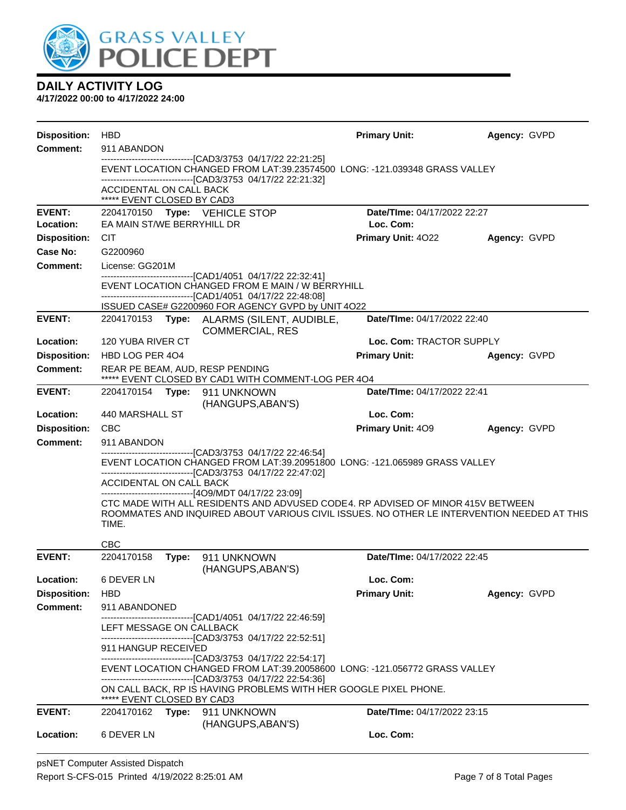

| <b>Disposition:</b> | <b>HBD</b>                                                                                                                                                                                                                       |                                                                                                                                            | <b>Primary Unit:</b>               | Agency: GVPD |  |  |  |
|---------------------|----------------------------------------------------------------------------------------------------------------------------------------------------------------------------------------------------------------------------------|--------------------------------------------------------------------------------------------------------------------------------------------|------------------------------------|--------------|--|--|--|
| <b>Comment:</b>     | 911 ABANDON                                                                                                                                                                                                                      |                                                                                                                                            |                                    |              |  |  |  |
|                     |                                                                                                                                                                                                                                  | -------------------------------[CAD3/3753 04/17/22 22:21:25]<br>EVENT LOCATION CHANGED FROM LAT:39.23574500 LONG: -121.039348 GRASS VALLEY |                                    |              |  |  |  |
|                     | ACCIDENTAL ON CALL BACK<br>***** EVENT CLOSED BY CAD3                                                                                                                                                                            | ----------------------------[CAD3/3753_04/17/22 22:21:32]                                                                                  |                                    |              |  |  |  |
| <b>EVENT:</b>       | 2204170150 Type: VEHICLE STOP                                                                                                                                                                                                    |                                                                                                                                            | Date/TIme: 04/17/2022 22:27        |              |  |  |  |
| Location:           | EA MAIN ST/WE BERRYHILL DR                                                                                                                                                                                                       |                                                                                                                                            | Loc. Com:                          |              |  |  |  |
| <b>Disposition:</b> | <b>CIT</b>                                                                                                                                                                                                                       |                                                                                                                                            | Primary Unit: 4022                 | Agency: GVPD |  |  |  |
| Case No:            | G2200960                                                                                                                                                                                                                         |                                                                                                                                            |                                    |              |  |  |  |
| <b>Comment:</b>     | License: GG201M                                                                                                                                                                                                                  | ------------------------------[CAD1/4051 04/17/22 22:32:41]                                                                                |                                    |              |  |  |  |
|                     |                                                                                                                                                                                                                                  | EVENT LOCATION CHANGED FROM E MAIN / W BERRYHILL                                                                                           |                                    |              |  |  |  |
|                     |                                                                                                                                                                                                                                  | ------------------------------[CAD1/4051 04/17/22 22:48:08]                                                                                |                                    |              |  |  |  |
| <b>EVENT:</b>       | 2204170153                                                                                                                                                                                                                       | ISSUED CASE# G2200960 FOR AGENCY GVPD by UNIT 4O22<br>Type: ALARMS (SILENT, AUDIBLE,                                                       | Date/TIme: 04/17/2022 22:40        |              |  |  |  |
|                     |                                                                                                                                                                                                                                  | <b>COMMERCIAL, RES</b>                                                                                                                     |                                    |              |  |  |  |
| Location:           | 120 YUBA RIVER CT                                                                                                                                                                                                                |                                                                                                                                            | Loc. Com: TRACTOR SUPPLY           |              |  |  |  |
| <b>Disposition:</b> | HBD LOG PER 404                                                                                                                                                                                                                  |                                                                                                                                            | <b>Primary Unit:</b>               | Agency: GVPD |  |  |  |
| <b>Comment:</b>     | REAR PE BEAM, AUD, RESP PENDING                                                                                                                                                                                                  | ***** EVENT CLOSED BY CAD1 WITH COMMENT-LOG PER 4O4                                                                                        |                                    |              |  |  |  |
| <b>EVENT:</b>       | 2204170154    Type: 911    UNKNOWN                                                                                                                                                                                               |                                                                                                                                            | Date/TIme: 04/17/2022 22:41        |              |  |  |  |
|                     |                                                                                                                                                                                                                                  | (HANGUPS, ABAN'S)                                                                                                                          |                                    |              |  |  |  |
| Location:           | 440 MARSHALL ST                                                                                                                                                                                                                  |                                                                                                                                            | Loc. Com:                          |              |  |  |  |
| <b>Disposition:</b> | <b>CBC</b>                                                                                                                                                                                                                       |                                                                                                                                            | Primary Unit: 409                  | Agency: GVPD |  |  |  |
| <b>Comment:</b>     | 911 ABANDON<br>------------------------[CAD3/3753_04/17/22_22:46:54]                                                                                                                                                             |                                                                                                                                            |                                    |              |  |  |  |
|                     | EVENT LOCATION CHANGED FROM LAT:39.20951800 LONG: -121.065989 GRASS VALLEY<br>-------------------------------[CAD3/3753_04/17/22_22:47:02]<br>ACCIDENTAL ON CALL BACK<br>-------------------------------[4O9/MDT 04/17/22 23:09] |                                                                                                                                            |                                    |              |  |  |  |
|                     |                                                                                                                                                                                                                                  |                                                                                                                                            |                                    |              |  |  |  |
|                     |                                                                                                                                                                                                                                  |                                                                                                                                            |                                    |              |  |  |  |
|                     | CTC MADE WITH ALL RESIDENTS AND ADVUSED CODE4, RP ADVISED OF MINOR 415V BETWEEN<br>ROOMMATES AND INQUIRED ABOUT VARIOUS CIVIL ISSUES. NO OTHER LE INTERVENTION NEEDED AT THIS                                                    |                                                                                                                                            |                                    |              |  |  |  |
|                     | TIME.                                                                                                                                                                                                                            |                                                                                                                                            |                                    |              |  |  |  |
|                     | <b>CBC</b>                                                                                                                                                                                                                       |                                                                                                                                            |                                    |              |  |  |  |
| <b>EVENT:</b>       | 2204170158<br>Type:                                                                                                                                                                                                              | 911 UNKNOWN<br>(HANGUPS, ABAN'S)                                                                                                           | Date/TIme: 04/17/2022 22:45        |              |  |  |  |
| Location:           | 6 DEVER LN                                                                                                                                                                                                                       |                                                                                                                                            | Loc. Com:                          |              |  |  |  |
| <b>Disposition:</b> | <b>HBD</b>                                                                                                                                                                                                                       |                                                                                                                                            | <b>Primary Unit:</b>               | Agency: GVPD |  |  |  |
| <b>Comment:</b>     | 911 ABANDONED                                                                                                                                                                                                                    |                                                                                                                                            |                                    |              |  |  |  |
|                     | ---------------------------------[CAD1/4051 04/17/22 22:46:59]<br>LEFT MESSAGE ON CALLBACK                                                                                                                                       |                                                                                                                                            |                                    |              |  |  |  |
|                     | -------------------------------[CAD3/3753_04/17/22 22:52:51]                                                                                                                                                                     |                                                                                                                                            |                                    |              |  |  |  |
|                     |                                                                                                                                                                                                                                  | 911 HANGUP RECEIVED<br>-------------------------------[CAD3/3753_04/17/22_22:54:17]                                                        |                                    |              |  |  |  |
|                     |                                                                                                                                                                                                                                  | EVENT LOCATION CHANGED FROM LAT:39.20058600 LONG: -121.056772 GRASS VALLEY                                                                 |                                    |              |  |  |  |
|                     | ---------------------------------[CAD3/3753 04/17/22 22:54:36]<br>ON CALL BACK, RP IS HAVING PROBLEMS WITH HER GOOGLE PIXEL PHONE.                                                                                               |                                                                                                                                            |                                    |              |  |  |  |
|                     | ***** EVENT CLOSED BY CAD3                                                                                                                                                                                                       |                                                                                                                                            |                                    |              |  |  |  |
| <b>EVENT:</b>       | 2204170162<br>Type:                                                                                                                                                                                                              | 911 UNKNOWN                                                                                                                                | <b>Date/Time: 04/17/2022 23:15</b> |              |  |  |  |
| Location:           | 6 DEVER LN                                                                                                                                                                                                                       | (HANGUPS, ABAN'S)                                                                                                                          | Loc. Com:                          |              |  |  |  |
|                     |                                                                                                                                                                                                                                  |                                                                                                                                            |                                    |              |  |  |  |